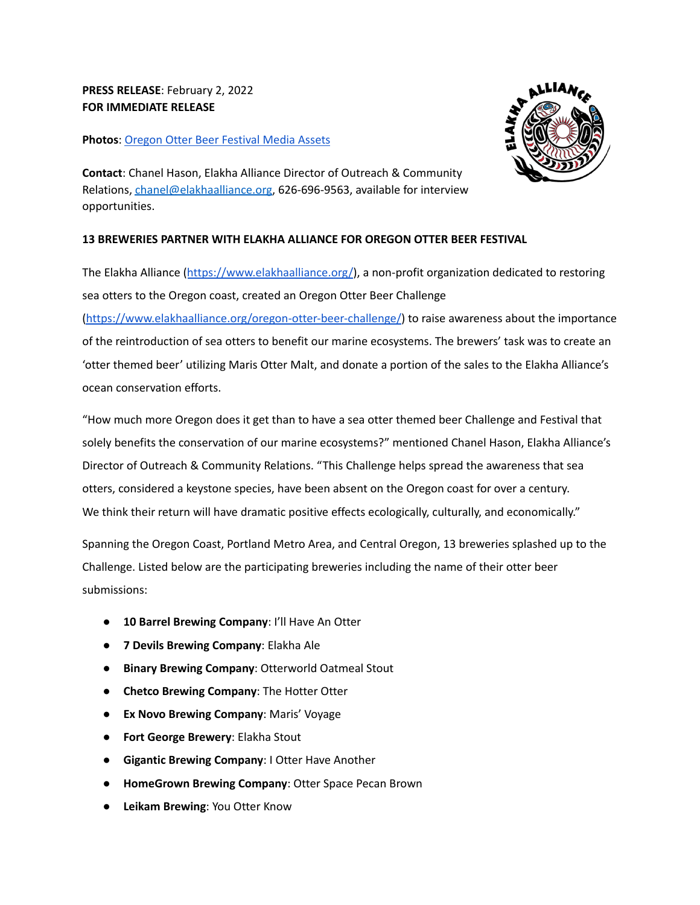# **PRESS RELEASE**: February 2, 2022 **FOR IMMEDIATE RELEASE**

### **Photos**: Oregon Otter Beer [Festival](https://drive.google.com/drive/folders/1ZadB6xlgBek4LgpPEa89WNTvdswFsPHA?usp=sharing) Media Assets



**Contact**: Chanel Hason, Elakha Alliance Director of Outreach & Community Relations, [chanel@elakhaalliance.org](mailto:chanel@elakhaalliance.org), 626-696-9563, available for interview opportunities.

## **13 BREWERIES PARTNER WITH ELAKHA ALLIANCE FOR OREGON OTTER BEER FESTIVAL**

The Elakha Alliance (<https://www.elakhaalliance.org/>), a non-profit organization dedicated to restoring sea otters to the Oregon coast, created an Oregon Otter Beer Challenge [\(https://www.elakhaalliance.org/oregon-otter-beer-challenge/](https://www.elakhaalliance.org/oregon-otter-beer-challenge/)) to raise awareness about the importance of the reintroduction of sea otters to benefit our marine ecosystems. The brewers' task was to create an 'otter themed beer' utilizing Maris Otter Malt, and donate a portion of the sales to the Elakha Alliance's ocean conservation efforts.

"How much more Oregon does it get than to have a sea otter themed beer Challenge and Festival that solely benefits the conservation of our marine ecosystems?" mentioned Chanel Hason, Elakha Alliance's Director of Outreach & Community Relations. "This Challenge helps spread the awareness that sea otters, considered a keystone species, have been absent on the Oregon coast for over a century. We think their return will have dramatic positive effects ecologically, culturally, and economically."

Spanning the Oregon Coast, Portland Metro Area, and Central Oregon, 13 breweries splashed up to the Challenge. Listed below are the participating breweries including the name of their otter beer submissions:

- **10 Barrel Brewing Company**: I'll Have An Otter
- **7 Devils Brewing Company**: Elakha Ale
- **Binary Brewing Company**: Otterworld Oatmeal Stout
- **Chetco Brewing Company**: The Hotter Otter
- **Ex Novo Brewing Company**: Maris' Voyage
- **Fort George Brewery**: Elakha Stout
- **Gigantic Brewing Company**: I Otter Have Another
- **HomeGrown Brewing Company**: Otter Space Pecan Brown
- **Leikam Brewing**: You Otter Know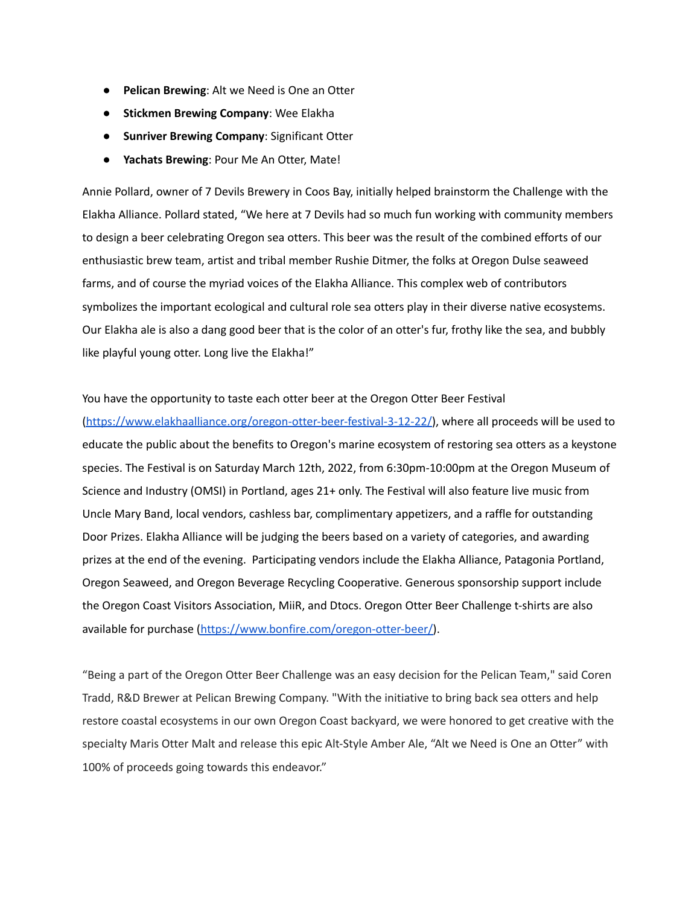- **Pelican Brewing**: Alt we Need is One an Otter
- **Stickmen Brewing Company**: Wee Elakha
- **Sunriver Brewing Company**: Significant Otter
- **Yachats Brewing**: Pour Me An Otter, Mate!

Annie Pollard, owner of 7 Devils Brewery in Coos Bay, initially helped brainstorm the Challenge with the Elakha Alliance. Pollard stated, "We here at 7 Devils had so much fun working with community members to design a beer celebrating Oregon sea otters. This beer was the result of the combined efforts of our enthusiastic brew team, artist and tribal member Rushie Ditmer, the folks at Oregon Dulse seaweed farms, and of course the myriad voices of the Elakha Alliance. This complex web of contributors symbolizes the important ecological and cultural role sea otters play in their diverse native ecosystems. Our Elakha ale is also a dang good beer that is the color of an otter's fur, frothy like the sea, and bubbly like playful young otter. Long live the Elakha!"

#### You have the opportunity to taste each otter beer at the Oregon Otter Beer Festival

[\(https://www.elakhaalliance.org/oregon-otter-beer-festival-3-12-22/\)](https://www.elakhaalliance.org/oregon-otter-beer-festival-3-12-22/), where all proceeds will be used to educate the public about the benefits to Oregon's marine ecosystem of restoring sea otters as a keystone species. The Festival is on Saturday March 12th, 2022, from 6:30pm-10:00pm at the Oregon Museum of Science and Industry (OMSI) in Portland, ages 21+ only. The Festival will also feature live music from Uncle Mary Band, local vendors, cashless bar, complimentary appetizers, and a raffle for outstanding Door Prizes. Elakha Alliance will be judging the beers based on a variety of categories, and awarding prizes at the end of the evening. Participating vendors include the Elakha Alliance, Patagonia Portland, Oregon Seaweed, and Oregon Beverage Recycling Cooperative. Generous sponsorship support include the Oregon Coast Visitors Association, MiiR, and Dtocs. Oregon Otter Beer Challenge t-shirts are also available for purchase [\(https://www.bonfire.com/oregon-otter-beer/\)](https://www.bonfire.com/oregon-otter-beer/).

"Being a part of the Oregon Otter Beer Challenge was an easy decision for the Pelican Team," said Coren Tradd, R&D Brewer at Pelican Brewing Company. "With the initiative to bring back sea otters and help restore coastal ecosystems in our own Oregon Coast backyard, we were honored to get creative with the specialty Maris Otter Malt and release this epic Alt-Style Amber Ale, "Alt we Need is One an Otter" with 100% of proceeds going towards this endeavor."